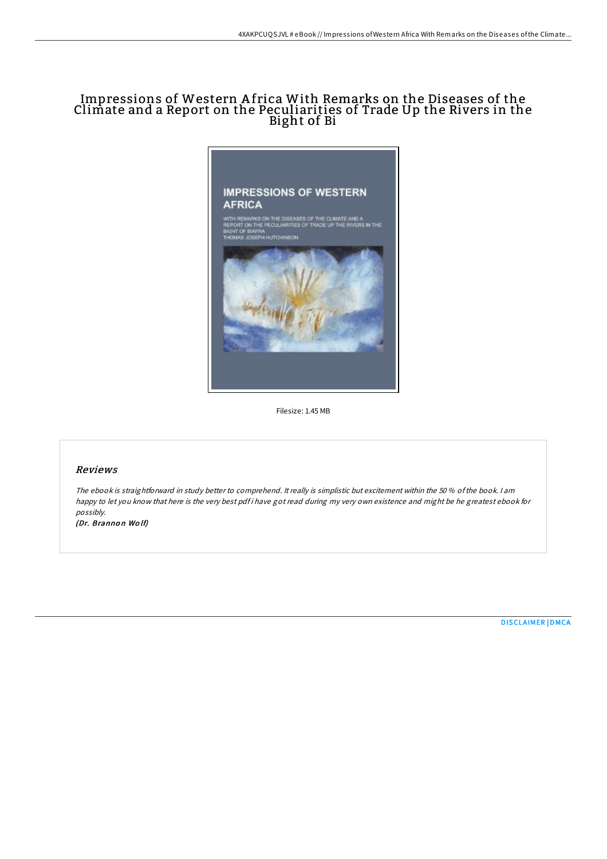# Impressions of Western A frica With Remarks on the Diseases of the Climate and a Report on the Peculiarities of Trade Up the Rivers in the Bight of Bi



Filesize: 1.45 MB

## Reviews

The ebook is straightforward in study better to comprehend. It really is simplistic but excitement within the 50 % ofthe book. <sup>I</sup> am happy to let you know that here is the very best pdf i have got read during my very own existence and might be he greatest ebook for possibly.

(Dr. Brannon Wolf)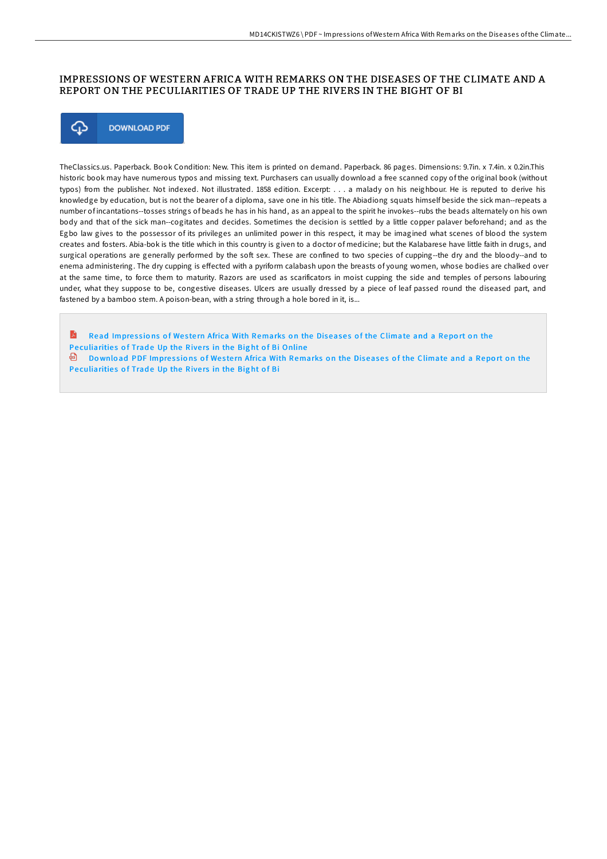### IMPRESSIONS OF WESTERN AFRICA WITH REMARKS ON THE DISEASES OF THE CLIMATE AND A REPORT ON THE PECULIARITIES OF TRADE UP THE RIVERS IN THE BIGHT OF BI



TheClassics.us. Paperback. Book Condition: New. This item is printed on demand. Paperback. 86 pages. Dimensions: 9.7in. x 7.4in. x 0.2in.This historic book may have numerous typos and missing text. Purchasers can usually download a free scanned copy of the original book (without typos) from the publisher. Not indexed. Not illustrated. 1858 edition. Excerpt: . . . a malady on his neighbour. He is reputed to derive his knowledge by education, but is not the bearer of a diploma, save one in his title. The Abiadiong squats himself beside the sick man--repeats a number of incantations--tosses strings of beads he has in his hand, as an appeal to the spirit he invokes--rubs the beads alternately on his own body and that of the sick man--cogitates and decides. Sometimes the decision is settled by a little copper palaver beforehand; and as the Egbo law gives to the possessor of its privileges an unlimited power in this respect, it may be imagined what scenes of blood the system creates and fosters. Abia-bok is the title which in this country is given to a doctor of medicine; but the Kalabarese have little faith in drugs, and surgical operations are generally performed by the soft sex. These are confined to two species of cupping--the dry and the bloody--and to enema administering. The dry cupping is effected with a pyriform calabash upon the breasts of young women, whose bodies are chalked over at the same time, to force them to maturity. Razors are used as scarificators in moist cupping the side and temples of persons labouring under, what they suppose to be, congestive diseases. Ulcers are usually dressed by a piece of leaf passed round the diseased part, and fastened by a bamboo stem. A poison-bean, with a string through a hole bored in it, is...

**A** Read Impressions of Western Africa With Remarks on the Diseases of the Climate and a Report on the Pe[culiaritie](http://almighty24.tech/impressions-of-western-africa-with-remarks-on-th.html)s of Trade Up the Rivers in the Bight of Bi Online  $\overline{p}$  Download PDF Impressions of Western Africa With Remarks on the Diseases of the Climate and a Report on the Pe[culiaritie](http://almighty24.tech/impressions-of-western-africa-with-remarks-on-th.html)s of Trade Up the Rivers in the Bight of Bi